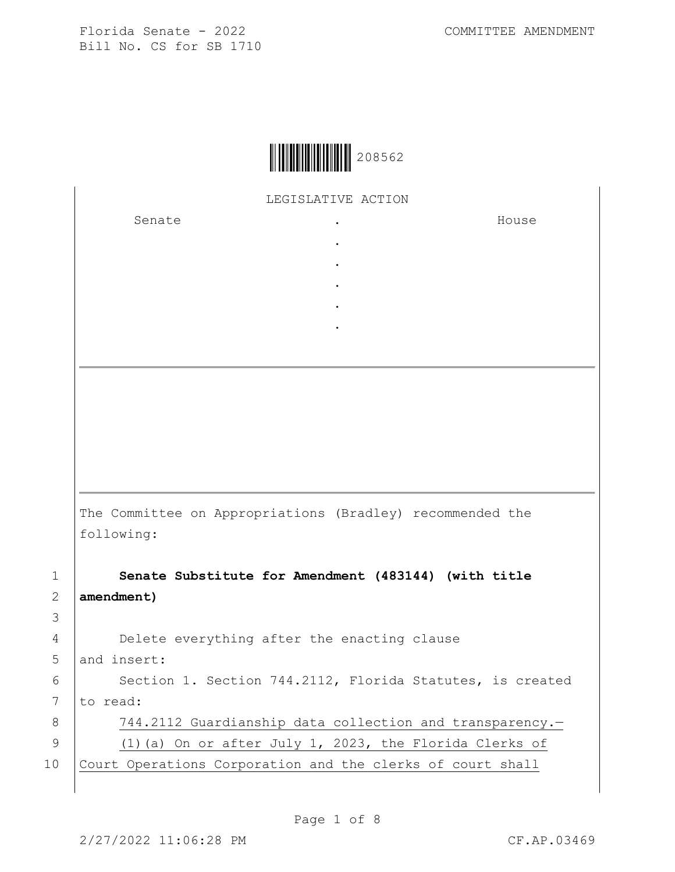LEGISLATIVE ACTION

. . . . .

Senate .

House

The Committee on Appropriations (Bradley) recommended the following:

1 **Senate Substitute for Amendment (483144) (with title**  2 **amendment)**

3 4 Delete everything after the enacting clause 5 and insert:

6 | Section 1. Section 744.2112, Florida Statutes, is created 7 to read: 8 | 744.2112 Guardianship data collection and transparency.-9 (1)(a) On or after July 1, 2023, the Florida Clerks of 10 Court Operations Corporation and the clerks of court shall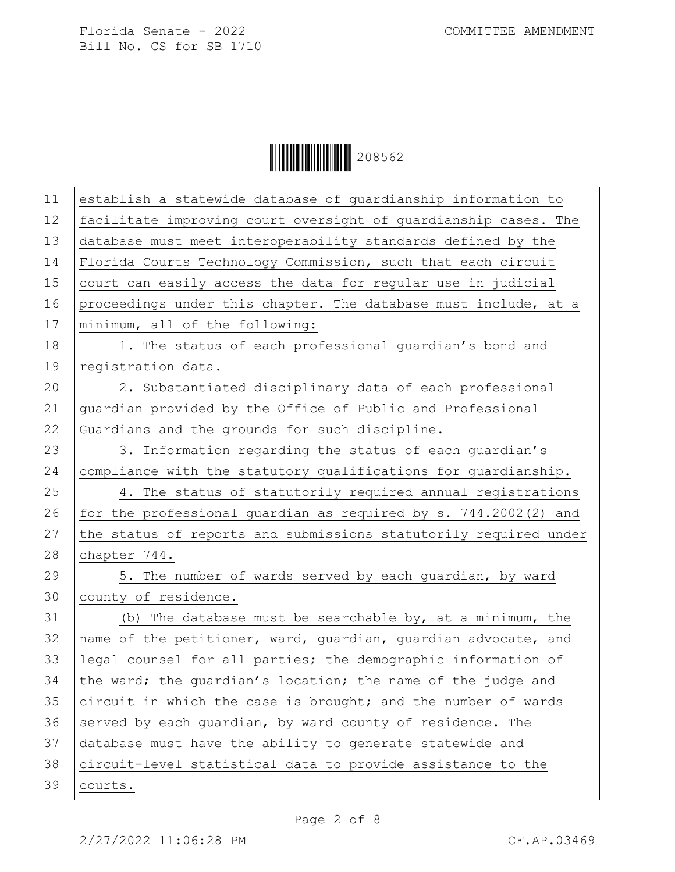Ì208562-Î208562

| 11 | establish a statewide database of guardianship information to    |
|----|------------------------------------------------------------------|
| 12 | facilitate improving court oversight of guardianship cases. The  |
| 13 | database must meet interoperability standards defined by the     |
| 14 | Florida Courts Technology Commission, such that each circuit     |
| 15 | court can easily access the data for regular use in judicial     |
| 16 | proceedings under this chapter. The database must include, at a  |
| 17 | minimum, all of the following:                                   |
| 18 | 1. The status of each professional quardian's bond and           |
| 19 | registration data.                                               |
| 20 | 2. Substantiated disciplinary data of each professional          |
| 21 | guardian provided by the Office of Public and Professional       |
| 22 | Guardians and the grounds for such discipline.                   |
| 23 | 3. Information regarding the status of each guardian's           |
| 24 | compliance with the statutory qualifications for guardianship.   |
| 25 | 4. The status of statutorily required annual registrations       |
| 26 | for the professional guardian as required by s. 744.2002(2) and  |
| 27 | the status of reports and submissions statutorily required under |
| 28 | chapter 744.                                                     |
| 29 | 5. The number of wards served by each guardian, by ward          |
| 30 | county of residence.                                             |
| 31 | (b) The database must be searchable by, at a minimum, the        |
| 32 | name of the petitioner, ward, guardian, guardian advocate, and   |
| 33 | legal counsel for all parties; the demographic information of    |
| 34 | the ward; the quardian's location; the name of the judge and     |
| 35 | circuit in which the case is brought; and the number of wards    |
| 36 | served by each guardian, by ward county of residence. The        |
| 37 | database must have the ability to generate statewide and         |
| 38 | circuit-level statistical data to provide assistance to the      |
| 39 | courts.                                                          |
|    |                                                                  |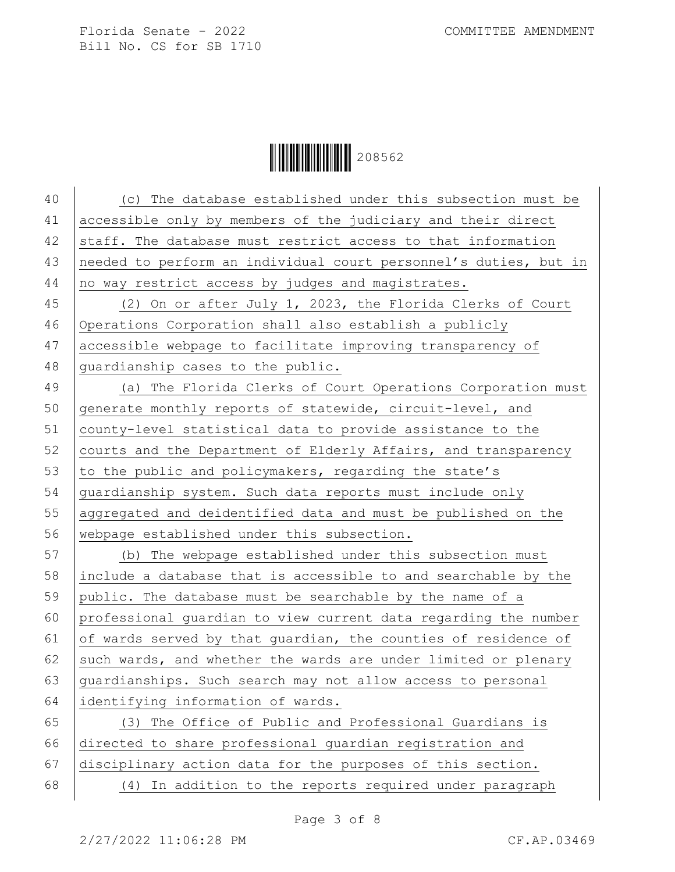$\|$  $\|$  $\|$  $\|$  $\|$  $\|$  $\|$  $208562$ 

40 (c) The database established under this subsection must be accessible only by members of the judiciary and their direct 42 staff. The database must restrict access to that information needed to perform an individual court personnel's duties, but in no way restrict access by judges and magistrates. (2) On or after July 1, 2023, the Florida Clerks of Court Operations Corporation shall also establish a publicly accessible webpage to facilitate improving transparency of 48 quardianship cases to the public. (a) The Florida Clerks of Court Operations Corporation must generate monthly reports of statewide, circuit-level, and county-level statistical data to provide assistance to the 52 courts and the Department of Elderly Affairs, and transparency 53 to the public and policymakers, regarding the state's guardianship system. Such data reports must include only aggregated and deidentified data and must be published on the 56 | webpage established under this subsection. (b) The webpage established under this subsection must include a database that is accessible to and searchable by the public. The database must be searchable by the name of a professional guardian to view current data regarding the number 61 of wards served by that quardian, the counties of residence of 62 such wards, and whether the wards are under limited or plenary 63 guardianships. Such search may not allow access to personal identifying information of wards. (3) The Office of Public and Professional Guardians is directed to share professional guardian registration and disciplinary action data for the purposes of this section.

68 (4) In addition to the reports required under paragraph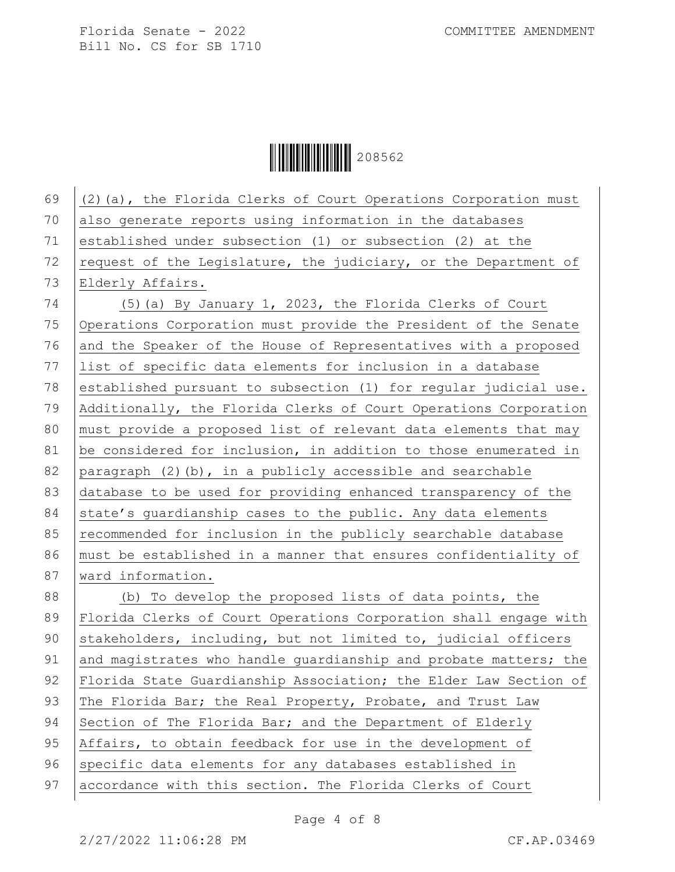## $\|$  $\|$  $\|$  $\|$  $\|$  $\|$  $\|$  $\|$  $208562$

69  $(2)$  (a), the Florida Clerks of Court Operations Corporation must 70 also generate reports using information in the databases 71 established under subsection (1) or subsection (2) at the 72 request of the Legislature, the judiciary, or the Department of 73 Elderly Affairs. 74 (5)(a) By January 1, 2023, the Florida Clerks of Court 75 Operations Corporation must provide the President of the Senate 76 and the Speaker of the House of Representatives with a proposed 77 list of specific data elements for inclusion in a database 78 established pursuant to subsection (1) for regular judicial use. 79 Additionally, the Florida Clerks of Court Operations Corporation 80 | must provide a proposed list of relevant data elements that may 81 be considered for inclusion, in addition to those enumerated in 82 paragraph (2)(b), in a publicly accessible and searchable 83 database to be used for providing enhanced transparency of the 84 state's quardianship cases to the public. Any data elements 85 recommended for inclusion in the publicly searchable database 86 must be established in a manner that ensures confidentiality of 87 | ward information. 88 (b) To develop the proposed lists of data points, the 89 | Florida Clerks of Court Operations Corporation shall engage with 90 stakeholders, including, but not limited to, judicial officers 91 and magistrates who handle guardianship and probate matters; the 92 | Florida State Guardianship Association; the Elder Law Section of 93 The Florida Bar; the Real Property, Probate, and Trust Law 94 Section of The Florida Bar; and the Department of Elderly 95 Affairs, to obtain feedback for use in the development of 96 specific data elements for any databases established in 97 accordance with this section. The Florida Clerks of Court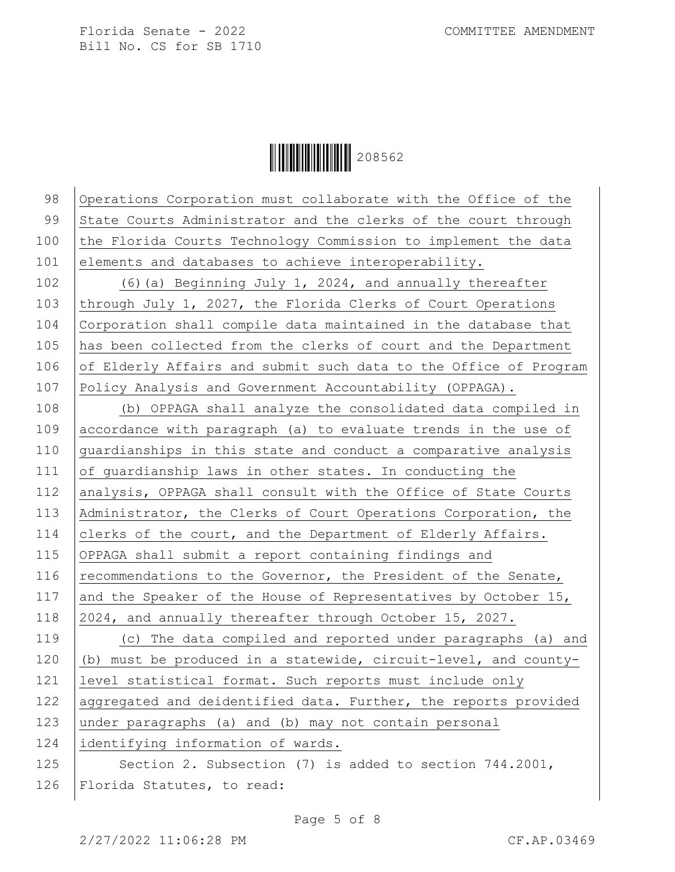$\|$  $\|$  $\|$  $\|$  $\|$  $\|$  $\|$  $208562$ 

98 Operations Corporation must collaborate with the Office of the 99 State Courts Administrator and the clerks of the court through 100 the Florida Courts Technology Commission to implement the data 101 elements and databases to achieve interoperability. 102 (6)(a) Beginning July 1, 2024, and annually thereafter 103 through July 1, 2027, the Florida Clerks of Court Operations 104 Corporation shall compile data maintained in the database that 105 has been collected from the clerks of court and the Department 106 of Elderly Affairs and submit such data to the Office of Program 107 Policy Analysis and Government Accountability (OPPAGA). 108 (b) OPPAGA shall analyze the consolidated data compiled in

109 accordance with paragraph (a) to evaluate trends in the use of 110 quardianships in this state and conduct a comparative analysis 111 of guardianship laws in other states. In conducting the 112 analysis, OPPAGA shall consult with the Office of State Courts 113 Administrator, the Clerks of Court Operations Corporation, the 114 clerks of the court, and the Department of Elderly Affairs. 115 OPPAGA shall submit a report containing findings and 116 recommendations to the Governor, the President of the Senate, 117 and the Speaker of the House of Representatives by October 15, 118 2024, and annually thereafter through October 15, 2027.

119 (c) The data compiled and reported under paragraphs (a) and 120  $\vert$  (b) must be produced in a statewide, circuit-level, and county-121 | level statistical format. Such reports must include only 122 aggregated and deidentified data. Further, the reports provided 123 under paragraphs (a) and (b) may not contain personal 124 identifying information of wards.

125 Section 2. Subsection (7) is added to section 744.2001, 126 Florida Statutes, to read: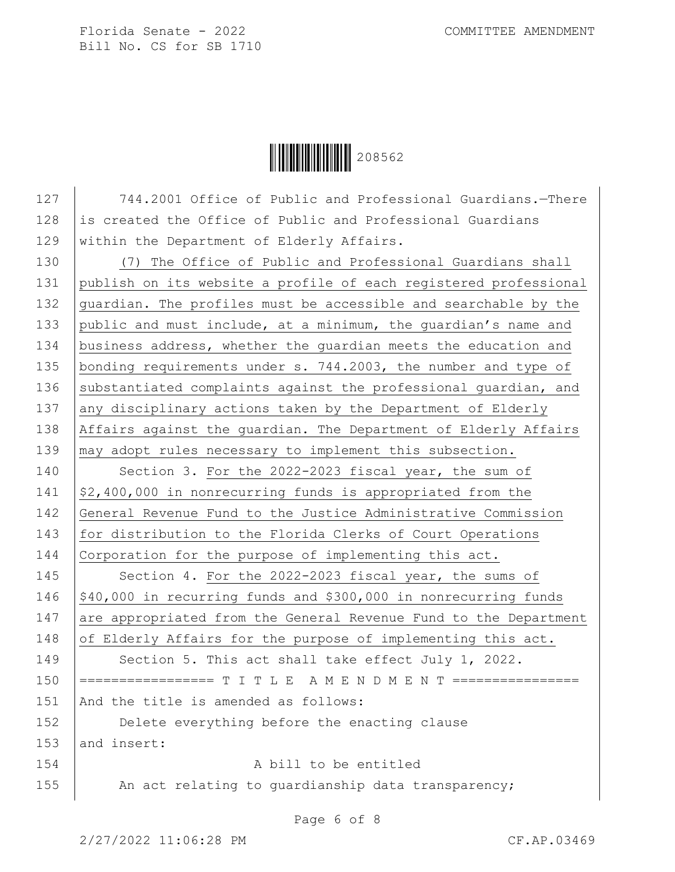## $\|$  $\|$  $\|$  $\|$  $\|$  $\|$  $208562$

127 744.2001 Office of Public and Professional Guardians. - There 128 is created the Office of Public and Professional Guardians 129 within the Department of Elderly Affairs. 130 (7) The Office of Public and Professional Guardians shall 131 publish on its website a profile of each registered professional 132 quardian. The profiles must be accessible and searchable by the 133 public and must include, at a minimum, the guardian's name and 134 business address, whether the quardian meets the education and 135 | bonding requirements under s. 744.2003, the number and type of 136 substantiated complaints against the professional quardian, and 137 any disciplinary actions taken by the Department of Elderly 138 Affairs against the guardian. The Department of Elderly Affairs 139 may adopt rules necessary to implement this subsection. 140 Section 3. For the 2022-2023 fiscal year, the sum of 141  $\frac{1}{2}$ ,400,000 in nonrecurring funds is appropriated from the 142 General Revenue Fund to the Justice Administrative Commission 143 for distribution to the Florida Clerks of Court Operations 144 Corporation for the purpose of implementing this act. 145 Section 4. For the 2022-2023 fiscal year, the sums of 146  $\frac{146}{140}$ ,000 in recurring funds and \$300,000 in nonrecurring funds 147 are appropriated from the General Revenue Fund to the Department 148  $\vert$  of Elderly Affairs for the purpose of implementing this act. 149 Section 5. This act shall take effect July 1, 2022. 150 ================= T I T L E A M E N D M E N T ================ 151 | And the title is amended as follows: 152 **Delete everything before the enacting clause** 153 and insert: 154 A bill to be entitled 155 An act relating to guardianship data transparency;

Page 6 of 8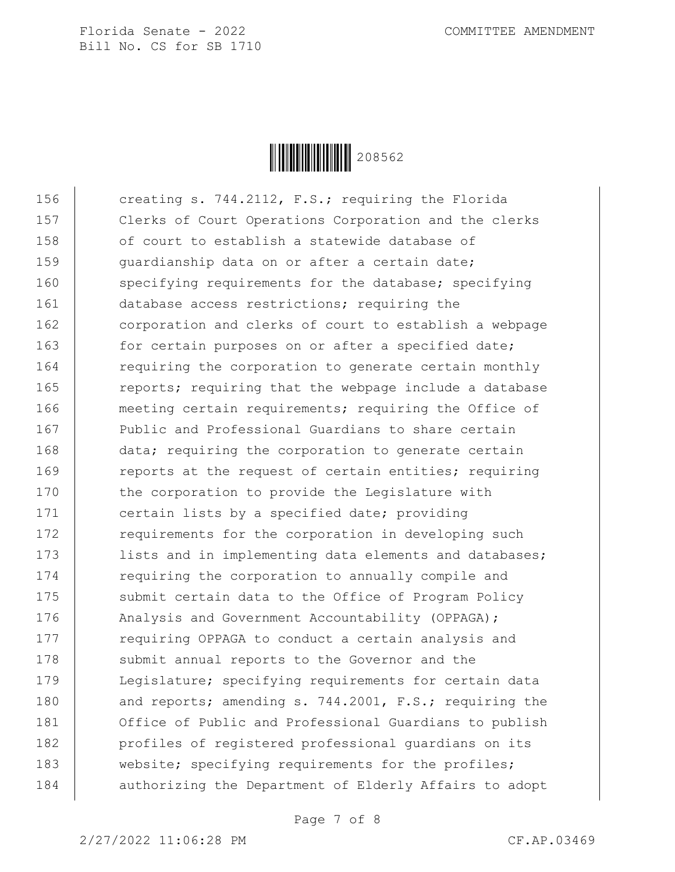

156 creating s. 744.2112, F.S.; requiring the Florida 157 Clerks of Court Operations Corporation and the clerks 158 of court to establish a statewide database of 159 quardianship data on or after a certain date; 160 specifying requirements for the database; specifying 161 database access restrictions; requiring the 162 corporation and clerks of court to establish a webpage 163 for certain purposes on or after a specified date; 164 requiring the corporation to generate certain monthly 165 Teports; requiring that the webpage include a database 166 meeting certain requirements; requiring the Office of 167 **Public and Professional Guardians to share certain** 168 data; requiring the corporation to generate certain 169 Teports at the request of certain entities; requiring 170 the corporation to provide the Legislature with 171 certain lists by a specified date; providing 172 requirements for the corporation in developing such 173 | lists and in implementing data elements and databases; 174 requiring the corporation to annually compile and 175 submit certain data to the Office of Program Policy 176 | Analysis and Government Accountability (OPPAGA); 177 equiring OPPAGA to conduct a certain analysis and 178 submit annual reports to the Governor and the 179 | Legislature; specifying requirements for certain data 180 and reports; amending s. 744.2001, F.S.; requiring the 181 Office of Public and Professional Guardians to publish 182 | profiles of registered professional guardians on its 183 website; specifying requirements for the profiles; 184 | authorizing the Department of Elderly Affairs to adopt